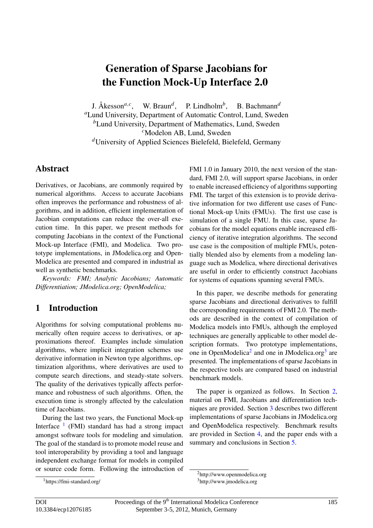# Generation of Sparse Jacobians for the Function Mock-Up Interface 2.0

J. Åkesson<sup> $a,c$ </sup>, W. Braun<sup> $d$ </sup>, P. Lindholm<sup>b</sup>, , B. Bachmann*<sup>d</sup>*

*<sup>a</sup>*Lund University, Department of Automatic Control, Lund, Sweden *<sup>b</sup>*Lund University, Department of Mathematics, Lund, Sweden

*<sup>c</sup>*Modelon AB, Lund, Sweden

*<sup>d</sup>*University of Applied Sciences Bielefeld, Bielefeld, Germany

### **Abstract**

Derivatives, or Jacobians, are commonly required by numerical algorithms. Access to accurate Jacobians often improves the performance and robustness of al-<br>tive information gorithms, and in addition, efficient implementation of Jacobian computations can reduce the over-all execution time. In this paper, we present methods for computing Jacobians in the context of the Functional Mock-up Interface (FMI), and Modelica. Two prototype implementations, in JModelica.org and Open-Modelica are presented and compared in industrial as well as synthetic benchmarks.

*Keywords: FMI; Analytic Jacobians; Automatic Differentiation; JModelica.org; OpenModelica;*

# 1 Introduction

Algorithms for solving computational problems numerically often require access to derivatives, or approximations thereof. Examples include simulation algorithms, where implicit integration schemes use derivative information in Newton type algorithms, optimization algorithms, where derivatives are used to compute search directions, and steady-state solvers. The quality of the derivatives typically affects performance and robustness of such algorithms. Often, the execution time is strongly affected by the calculation time of Jacobians.

During the last two years, the Functional Mock-up Interface  $1$  (FMI) standard has had a strong impact amongst software tools for modeling and simulation. The goal of the standard is to promote model reuse and tool interoperability by providing a tool and language independent exchange format for models in compiled or source code form. Following the introduction of FMI 1.0 in January 2010, the next version of the standard, FMI 2.0, will support sparse Jacobians, in order to enable increased efficiency of algorithms supporting FMI. The target of this extension is to provide derivative information for two different use cases of Functional Mock-up Units (FMUs). The first use case is simulation of a single FMU. In this case, sparse Jacobians for the model equations enable increased efficiency of iterative integration algorithms. The second use case is the composition of multiple FMUs, potentially blended also by elements from a modeling language such as Modelica, where directional derivatives are useful in order to efficiently construct Jacobians for systems of equations spanning several FMUs.

In this paper, we describe methods for generating sparse Jacobians and directional derivatives to fulfill the corresponding requirements of FMI 2.0. The methods are described in the context of compilation of Modelica models into FMUs, although the employed techniques are generally applicable to other model description formats. Two prototype implementations, one in OpenModelica<sup>[2](#page-0-1)</sup> and one in JModelica.org<sup>[3](#page-0-2)</sup> are presented. The implementations of sparse Jacobians in the respective tools are compared based on industrial benchmark models.

The paper is organized as follows. In Section [2,](#page-1-0) material on FMI, Jacobians and differentiation techniques are provided. Section [3](#page-5-0) describes two different implementations of sparse Jacobians in JModelica.org and OpenModelica respectively. Benchmark results are provided in Section [4,](#page-7-0) and the paper ends with a summary and conclusions in Section [5.](#page-10-0)

<span id="page-0-0"></span><sup>1</sup>https://fmi-standard.org/

<span id="page-0-2"></span><span id="page-0-1"></span><sup>2</sup>http://www.openmodelica.org <sup>3</sup>http://www.jmodelica.org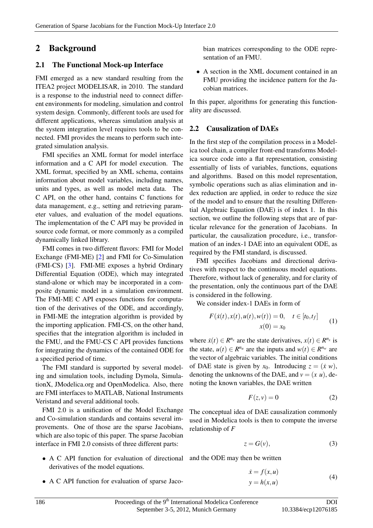### <span id="page-1-0"></span>2 Background

#### 2.1 The Functional Mock-up Interface

FMI emerged as a new standard resulting from the ITEA2 project MODELISAR, in 2010. The standard is a response to the industrial need to connect different environments for modeling, simulation and control system design. Commonly, different tools are used for different applications, whereas simulation analysis at the system integration level requires tools to be connected. FMI provides the means to perform such integrated simulation analysis.

FMI specifies an XML format for model interface information and a C API for model execution. The XML format, specified by an XML schema, contains information about model variables, including names, units and types, as well as model meta data. The C API, on the other hand, contains C functions for data management, e.g., setting and retrieving parameter values, and evaluation of the model equations. The implementation of the C API may be provided in source code format, or more commonly as a compiled dynamically linked library.

FMI comes in two different flavors: FMI for Model Exchange (FMI-ME) [\[2\]](#page-11-0) and FMI for Co-Simulation (FMI-CS) [\[3\]](#page-11-1). FMI-ME exposes a hybrid Ordinary Differential Equation (ODE), which may integrated stand-alone or which may be incorporated in a composite dynamic model in a simulation environment. The FMI-ME C API exposes functions for computation of the derivatives of the ODE, and accordingly, in FMI-ME the integration algorithm is provided by the importing application. FMI-CS, on the other hand, specifies that the integration algorithm is included in the FMU, and the FMU-CS C API provides functions for integrating the dynamics of the contained ODE for a specified period of time.

The FMI standard is supported by several modeling and simulation tools, including Dymola, SimulationX, JModelica.org and OpenModelica. Also, there are FMI interfaces to MATLAB, National Instruments Veristand and several additional tools.

FMI 2.0 is a unification of the Model Exchange and Co-simulation standards and contains several improvements. One of those are the sparse Jacobians, which are also topic of this paper. The sparse Jacobian interface in FMI 2.0 consists of three different parts:

- A C API function for evaluation of directional derivatives of the model equations.
- A C API function for evaluation of sparse Jaco-

bian matrices corresponding to the ODE representation of an FMU.

• A section in the XML document contained in an FMU providing the incidence pattern for the Jacobian matrices.

In this paper, algorithms for generating this functionality are discussed.

#### <span id="page-1-2"></span>2.2 Causalization of DAEs

In the first step of the compilation process in a Modelica tool chain, a compiler front-end transforms Modelica source code into a flat representation, consisting essentially of lists of variables, functions, equations and algorithms. Based on this model representation, symbolic operations such as alias elimination and index reduction are applied, in order to reduce the size of the model and to ensure that the resulting Differential Algebraic Equation (DAE) is of index 1. In this section, we outline the following steps that are of particular relevance for the generation of Jacobians. In particular, the causalization procedure, i.e., transformation of an index-1 DAE into an equivalent ODE, as required by the FMI standard, is discussed.

FMI specifies Jacobians and directional derivatives with respect to the continuous model equations. Therefore, without lack of generality, and for clarity of the presentation, only the continuous part of the DAE is considered in the following.

We consider index-1 DAEs in form of

$$
F(\dot{x}(t), x(t), u(t), w(t)) = 0, \quad t \in [t_0, t_f]
$$
  

$$
x(0) = x_0
$$
 (1)

where  $\dot{x}(t) \in R^{n_x}$  are the state derivatives,  $x(t) \in R^{n_x}$  is the state,  $u(t) \in R^{n_u}$  are the inputs and  $w(t) \in R^{n_w}$  are the vector of algebraic variables. The initial conditions of DAE state is given by  $x_0$ . Introducing  $z = (x \ w)$ , denoting the unknowns of the DAE, and  $v = (x, u)$ , denoting the known variables, the DAE written

<span id="page-1-3"></span>
$$
F(z, v) = 0 \tag{2}
$$

The conceptual idea of DAE causalization commonly used in Modelica tools is then to compute the inverse relationship of *F*

<span id="page-1-4"></span>
$$
z = G(v),\tag{3}
$$

and the ODE may then be written

<span id="page-1-1"></span>
$$
\begin{aligned}\n\dot{x} &= f(x, u) \\
y &= h(x, u)\n\end{aligned} \tag{4}
$$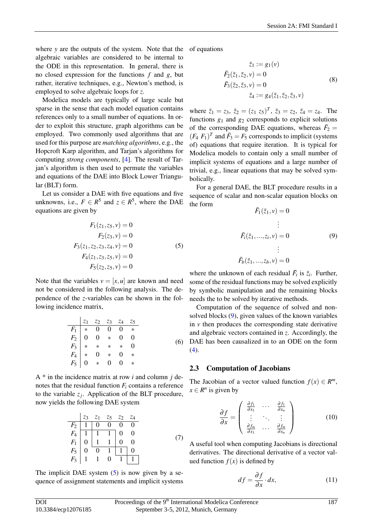where *y* are the outputs of the system. Note that the algebraic variables are considered to be internal to the ODE in this representation. In general, there is no closed expression for the functions *f* and *g*, but rather, iterative techniques, e.g., Newton's method, is employed to solve algebraic loops for *z*.

Modelica models are typically of large scale but sparse in the sense that each model equation contains references only to a small number of equations. In order to exploit this structure, graph algorithms can be employed. Two commonly used algorithms that are used for this purpose are *matching algorithms*, e.g., the Hopcroft Karp algorithm, and Tarjan's algorithms for computing *strong components*, [\[4\]](#page-11-2). The result of Tarjan's algorithm is then used to permute the variables and equations of the DAE into Block Lower Triangular (BLT) form.

Let us consider a DAE with five equations and five unknowns, i.e.,  $F \in R^5$  and  $z \in R^5$ , where the DAE equations are given by

<span id="page-2-0"></span>
$$
F_1(z_1, z_5, v) = 0
$$
  
\n
$$
F_2(z_3, v) = 0
$$
  
\n
$$
F_3(z_1, z_2, z_3, z_4, v) = 0
$$
  
\n
$$
F_4(z_1, z_3, z_5, v) = 0
$$
  
\n
$$
F_5(z_2, z_5, v) = 0
$$
  
\n(5)

Note that the variables  $v = [x, u]$  are known and need not be considered in the following analysis. The dependence of the *z*-variables can be shown in the following incidence matrix,

<span id="page-2-3"></span>
$$
\begin{array}{c|ccccccccc}\n & z_1 & z_2 & z_3 & z_4 & z_5 \\
\hline\nF_1 & * & 0 & 0 & 0 & * & 0 \\
F_2 & 0 & 0 & * & 0 & 0 & & 0 \\
F_3 & * & * & * & * & 0 & & 0 \\
F_4 & * & 0 & * & 0 & * & & \\
F_5 & 0 & * & 0 & 0 & * & & \\
\end{array}
$$
\n(6)

A \* in the incidence matrix at row *i* and column *j* denotes that the residual function *F<sup>i</sup>* contains a reference to the variable  $z_j$ . Application of the BLT procedure, now yields the following DAE system

$$
\begin{array}{c|cccccc}\n & z_3 & z_1 & z_5 & z_2 & z_4 \\
\hline\nF_2 & 1 & 0 & 0 & 0 & 0 \\
F_4 & 1 & 1 & 1 & 0 & 0 \\
F_1 & 0 & 1 & 1 & 0 & 0 \\
F_5 & 0 & 0 & 1 & 1 & 0 \\
F_3 & 1 & 1 & 0 & 1 & 1\n\end{array} \tag{7}
$$

The implicit DAE system  $(5)$  is now given by a sequence of assignment statements and implicit systems of equations

$$
\bar{z}_1 := g_1(v)
$$
  
\n
$$
\bar{F}_2(\bar{z}_1, \bar{z}_2, v) = 0
$$
  
\n
$$
\bar{F}_3(\bar{z}_2, \bar{z}_3, v) = 0
$$
  
\n
$$
\bar{z}_4 := g_4(\bar{z}_1, \bar{z}_2, \bar{z}_3, v)
$$
\n(8)

where  $\bar{z}_1 = z_3$ ,  $\bar{z}_2 = (z_1 \ z_5)^T$ ,  $\bar{z}_3 = z_2$ ,  $\bar{z}_4 = z_4$ . The functions  $g_1$  and  $g_2$  corresponds to explicit solutions of the corresponding DAE equations, whereas  $\bar{F}_2$  =  $(F_4 \ F_1)^T$  and  $\bar{F}_3 = F_5$  corresponds to implicit (systems of) equations that require iteration. It is typical for Modelica models to contain only a small number of implicit systems of equations and a large number of trivial, e.g., linear equations that may be solved symbolically.

For a general DAE, the BLT procedure results in a sequence of scalar and non-scalar equation blocks on the form

<span id="page-2-1"></span>
$$
\bar{F}_1(\bar{z}_1, v) = 0
$$
\n
$$
\vdots
$$
\n
$$
\bar{F}_i(\bar{z}_1, ..., z_i, v) = 0
$$
\n
$$
\vdots
$$
\n
$$
\bar{F}_b(\bar{z}_1, ..., z_b, v) = 0
$$
\n(9)

where the unknown of each residual  $\bar{F}_i$  is  $\bar{z}_i$ . Further, some of the residual functions may be solved explicitly by symbolic manipulation and the remaining blocks needs the to be solved by iterative methods.

Computation of the sequence of solved and nonsolved blocks [\(9\)](#page-2-1), given values of the known variables in  $\nu$  then produces the corresponding state derivative and algebraic vectors contained in *z*. Accordingly, the DAE has been causalized in to an ODE on the form  $(4).$  $(4).$ 

#### 2.3 Computation of Jacobians

The Jacobian of a vector valued function  $f(x) \in R^m$ ,  $x \in \mathbb{R}^n$  is given by

$$
\frac{\partial f}{\partial x} = \begin{pmatrix} \frac{\partial f_1}{\partial x_1} & \cdots & \frac{\partial f_1}{\partial x_n} \\ \vdots & \ddots & \vdots \\ \frac{\partial f_m}{\partial x_1} & \cdots & \frac{\partial f_m}{\partial x_n} \end{pmatrix}
$$
(10)

A useful tool when computing Jacobians is directional derivatives. The directional derivative of a vector valued function  $f(x)$  is defined by

<span id="page-2-2"></span>
$$
df = \frac{\partial f}{\partial x} \cdot dx,\tag{11}
$$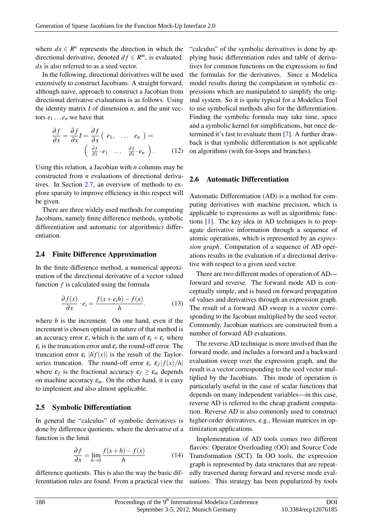where  $dx \in \mathbb{R}^n$  represents the direction in which the directional derivative, denoted  $df \in R^m$ , is evaluated. dx is also referred to as a seed vector.

In the following, directional derivatives will be used extensively to construct Jacobians. A straight forward, although naive, approach to construct a Jacobian from directional derivative evaluations is as follows. Using the identity matrix *I* of dimension *n*, and the unit vectors  $e_1 \ldots e_n$  we have that

$$
\frac{\partial f}{\partial x} = \frac{\partial f}{\partial x} I = \frac{\partial f}{\partial x} (e_1, \dots, e_n) =
$$
\n
$$
\left( \frac{\partial f}{\partial x} \cdot e_1 \dots \frac{\partial f}{\partial x} \cdot e_n \right). \tag{12}
$$

Using this relation, a Jacobian with *n* columns may be constructed from *n* evaluations of directional derivatives. In Section [2.7,](#page-4-0) an overview of methods to explore sparsity to improve efficiency in this respect will be given.

There are three widely used methods for computing Jacobians, namely finite difference methods, symbolic differentiation and automatic (or algorithmic) differentiation.

#### 2.4 Finite Difference Approximation

In the finite difference method, a numerical approximation of the directional derivative of a vector valued function *f* is calculated using the formula

$$
\frac{\partial f(x)}{\partial x} \cdot e_i = \frac{f(x + e_i h) - f(x)}{h}.\tag{13}
$$

where *h* is the increment. On one hand, even if the increment is chosen optimal in nature of that method is an accuracy error  $\varepsilon$ , which is the sum of  $\varepsilon_t + \varepsilon_r$  where  $\varepsilon_t$  is the truncation error and  $\varepsilon_r$  the round-off error. The truncation error  $\varepsilon_t$   $|\dot{h}f(x)|$  is the result of the Taylorseries truncation. The round-off error  $\varepsilon_r$   $\varepsilon_f$   $|f(x)/h|$ where  $\varepsilon_f$  is the fractional accuracy  $\varepsilon_f \geq \varepsilon_m$  depends on machine accuracy  $\varepsilon_m$ . On the other hand, it is easy to implement and also almost applicable.

#### 2.5 Symbolic Differentiation

In general the "calculus" of symbolic derivatives is done by difference quotients. where the derivative of a function is the limit

$$
\frac{\partial f}{\partial x} = \lim_{h \to 0} \frac{f(x+h) - f(x)}{h}
$$
 (14)

difference quotients. This is also the way the basic differentiation rules are found. From a practical view the "calculus" of the symbolic derivatives is done by applying basic differentiation rules and table of derivatives for common functions on the expressions to find the formulas for the derivatives. Since a Modelica model results during the compilation in symbolic expressions which are manipulated to simplify the original system. So it is quite typical for a Modelica Tool to use symbolical methods also for the differentiation. Finding the symbolic formula may take time, space and a symbolic kernel for simplifications, but once determined it's fast to evaluate them [\[7\]](#page-11-3). A further drawback is that symbolic differentiation is not applicable on algorithms (with for-loops and branches).

#### 2.6 Automatic Differentiation

Automatic Differentiation (AD) is a method for computing derivatives with machine precision, which is applicable to expressions as well as algorithmic functions [\[1\]](#page-11-4). The key idea in AD techniques is to propagate derivative information through a sequence of atomic operations, which is represented by an *expression graph*. Computation of a sequence of AD operations results in the evaluation of a directional derivative with respect to a given seed vector.

There are two different modes of operation of AD forward and reverse. The forward mode AD is conceptually simple, and is based on forward propagation of values and derivatives through an expression graph. The result of a forward AD sweep is a vector corresponding to the Jacobian multiplied by the seed vector. Commonly, Jacobian matrices are constructed from a number of forward AD evaluations.

The reverse AD technique is more involved than the forward mode, and includes a forward and a backward evaluation sweep over the expression graph, and the result is a vector corresponding to the seed vector multiplied by the Jacobians. This mode of operation is particularly useful in the case of scalar functions that depends on many independent variables—in this case, reverse AD is referred to the cheap gradient computation. Reverse AD is also commonly used to construct higher-order derivatives, e.g., Hessian matrices in optimization applications.

Implementation of AD tools comes two different flavors: Operator Overloading (OO) and Source Code Transformation (SCT). In OO tools, the expression graph is represented by data structures that are repeatedly traversed during forward and reverse mode evaluations. This strategy has been popularized by tools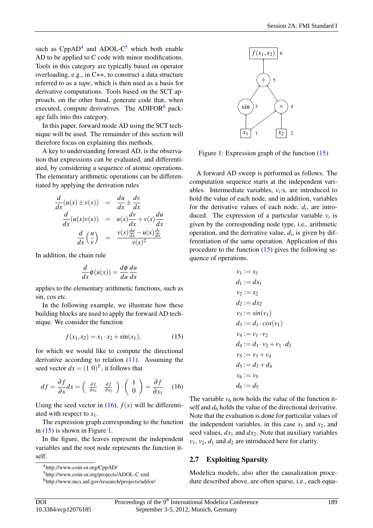such as  $CppAD<sup>4</sup>$  $CppAD<sup>4</sup>$  $CppAD<sup>4</sup>$  and ADOL-C<sup>[5](#page-4-2)</sup> which both enable AD to be applied to C code with minor modifications. Tools in this category are typically based on operator overloading, e.g., in C++, to construct a data structure referred to as a *tape*, which is then used as a basis for derivative computations. Tools based on the SCT approach, on the other hand, generate code that, when executed, compute derivatives. The ADIFOR $<sup>6</sup>$  $<sup>6</sup>$  $<sup>6</sup>$  pack-</sup> age falls into this category.

In this paper, forward mode AD using the SCT technique will be used. The remainder of this section will therefore focus on explaining this methods.

A key to understanding forward AD, is the observation that expressions can be evaluated, and differentiated, by considering a sequence of atomic operations. The elementary arithmetic operations can be differentiated by applying the derivation rules

<span id="page-4-5"></span>
$$
\frac{d}{dx}(u(x) \pm v(x)) = \frac{du}{dx} \pm \frac{dv}{dx}
$$
\n
$$
\frac{d}{dx}(u(x)v(x)) = u(x)\frac{dv}{dx} + v(x)\frac{du}{dx}
$$
\n
$$
\frac{d}{dx}\left(\frac{u}{v}\right) = \frac{v(x)\frac{du}{dx} - u(x)\frac{dv}{dx}}{v(x)^2}
$$

In addition, the chain rule

$$
\frac{d}{dx}\phi(u(x)) = \frac{d\phi}{du}\frac{du}{dx}
$$

applies to the elementary arithmetic functions, such as sin, cos etc.

In the following example, we illustrate how these building blocks are used to apply the forward AD technique. We consider the function

$$
f(x_1, x_2) = x_1 \cdot x_2 + \sin(x_1), \tag{15}
$$

for which we would like to compute the directional derivative according to relation [\(11\)](#page-2-2). Assuming the seed vector  $dx = (1 \ 0)^T$ , it follows that

<span id="page-4-4"></span>
$$
df = \frac{\partial f}{\partial x} dx = \begin{pmatrix} \frac{\partial f}{\partial x_1} & \frac{\partial f}{\partial x_2} \end{pmatrix} \cdot \begin{pmatrix} 1 \\ 0 \end{pmatrix} = \frac{\partial f}{\partial x_1}.
$$
 (16)

Using the seed vector in  $(16)$ ,  $f(x)$  will be differentiated with respect to *x*1.

The expression graph corresponding to the function in [\(15\)](#page-4-5) is shown in Figure [1.](#page-4-6)

In the figure, the leaves represent the independent variables and the root node represents the function itself.



<span id="page-4-6"></span>Figure 1: Expression graph of the function [\(15\)](#page-4-5)

A forward AD sweep is performed as follows. The computation sequence starts at the independent variables. Intermediate variables,  $v_i$ :s, are introduced to hold the value of each node, and in addition, variables for the derivative values of each node, *d<sup>i</sup>* , are introduced. The expression of a particular variable  $v_i$  is given by the corresponding node type, i.e., arithmetic operation, and the derivative value,  $d_i$ , is given by differentiation of the same operation. Application of this procedure to the function  $(15)$  gives the following sequence of operations.

$$
v_1 := x_1
$$
  
\n
$$
d_1 := dx_1
$$
  
\n
$$
v_2 := x_2
$$
  
\n
$$
d_2 := dx_2
$$
  
\n
$$
v_3 := sin(v_1)
$$
  
\n
$$
d_3 := d_1 \cdot cos(v_1)
$$
  
\n
$$
v_4 := v_1 \cdot v_2
$$
  
\n
$$
d_4 := d_1 \cdot v_2 + v_1 \cdot d_2
$$
  
\n
$$
v_5 := v_3 + v_4
$$
  
\n
$$
d_5 := d_3 + d_4
$$
  
\n
$$
v_6 := v_5
$$
  
\n
$$
d_6 := d_5
$$

The variable  $v_6$  now holds the value of the function itself and  $d_6$  holds the value of the directional derivative. Note that the evaluation is done for particular values of the independent variables, in this case  $x_1$  and  $x_2$ , and seed values,  $dx_1$  and  $dx_2$ . Note that auxiliary variables  $v_1$ ,  $v_2$ ,  $d_1$  and  $d_2$  are introduced here for clarity.

#### <span id="page-4-0"></span>2.7 Exploiting Sparsity

Modelica models, also after the causalization procedure described above, are often sparse, i.e., each equa-

<span id="page-4-1"></span><sup>4</sup>http://www.coin-or.org/CppAD/

<span id="page-4-2"></span><sup>5</sup>http://www.coin-or.org/projects/ADOL-C.xml

<span id="page-4-3"></span><sup>6</sup>http://www.mcs.anl.gov/research/projects/adifor/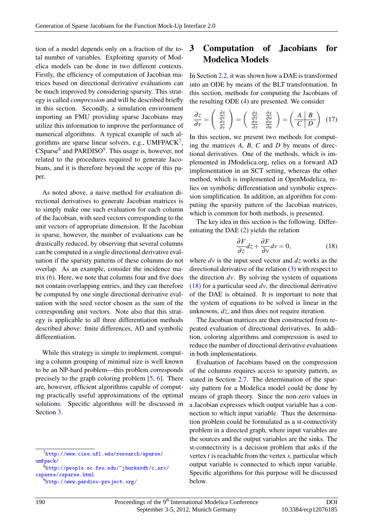tion of a model depends only on a fraction of the total number of variables. Exploiting sparsity of Modelica models can be done in two different contexts. Firstly, the efficiency of computation of Jacobian matrices based on directional derivative evaluations can be much improved by considering sparsity. This strategy is called *compression* and will be described briefly in this section. Secondly, a simulation environment importing an FMU providing sparse Jacobians may utilize this information to improve the performance of numerical algorithms. A typical example of such algorithms are sparse linear solvers, e.g.,  $UMFPACK^7$  $UMFPACK^7$ , CSparse<sup>[8](#page-5-2)</sup> and PARDISO<sup>[9](#page-5-3)</sup>. This usage is, however, not related to the procedures required to generate Jacobians, and it is therefore beyond the scope of this paper.

As noted above, a naive method for evaluation directional derivatives to generate Jacobian matrices is to simply make one such evaluation for each column of the Jacobian, with seed vectors corresponding to the unit vectors of appropriate dimension. If the Jacobian is sparse, however, the number of evaluations can be drastically reduced, by observing that several columns can be computed in a single directional derivative evaluation if the sparsity patterns of these columns do not overlap. As an example, consider the incidence matrix  $(6)$ . Here, we note that columns four and five does not contain overlapping entries, and they can therefore be computed by one single directional derivative evaluation with the seed vector chosen as the sum of the corresponding unit vectors. Note also that this strategy is applicable to all three differentiation methods described above: finite differences, AD and symbolic differentiation.

While this strategy is simple to implement, computing a column grouping of minimal size is well known to be an NP-hard problem—this problem corresponds precisely to the graph coloring problem [\[5,](#page-11-5) [6\]](#page-11-6). There are, however, efficient algorithms capable of computing practically useful approximations of the optimal solutions. Specific algorithms will be discussed in Section [3.](#page-5-0)

### <span id="page-5-0"></span>3 Computation of Jacobians for Modelica Models

In Section [2.2,](#page-1-2) it was shown how a DAE is transformed into an ODE by means of the BLT transformation. In this section, methods for computing the Jacobians of the resulting ODE [\(4\)](#page-1-1) are presented. We consider

<span id="page-5-5"></span>
$$
\frac{\partial z}{\partial v} = \begin{pmatrix} \frac{\partial \dot{x}}{\partial v} \\ \frac{\partial y}{\partial v} \end{pmatrix} = \begin{pmatrix} \frac{\partial \dot{x}}{\partial x} & \frac{\partial \dot{x}}{\partial u} \\ \frac{\partial w}{\partial x} & \frac{\partial w}{\partial u} \end{pmatrix} = \begin{pmatrix} A & B \\ \overline{C} & D \end{pmatrix}
$$
(17)

In this section, we present two methods for computing the matrices *A*, *B*, *C* and *D* by means of directional derivatives. One of the methods, which is implemented in JModelica.org, relies on a forward AD implementation in an SCT setting, whereas the other method, which is implemented in OpenModelica, relies on symbolic differentiation and symbolic expression simplification. In addition, an algorithm for computing the sparsity pattern of the Jacobian matrices, which is common for both methods, is presented.

The key idea in this section is the following. Differentiating the DAE [\(2\)](#page-1-3) yields the relation

<span id="page-5-4"></span>
$$
\frac{\partial F}{\partial z} dz + \frac{\partial F}{\partial v} dv = 0, \qquad (18)
$$

where *dv* is the input seed vector and *dz* works as the directional derivative of the relation [\(3\)](#page-1-4) with respect to the direction  $dv$ . By solving the system of equations [\(18\)](#page-5-4) for a particular seed *dv*, the directional derivative of the DAE is obtained. It is important to note that the system of equations to be solved is linear in the unknowns, *dz*, and thus does not require iteration.

The Jacobian matrices are then constructed from repeated evaluation of directional derivatives. In addition, coloring algorithms and compression is used to reduce the number of directional derivative evaluations in both implementations.

Evaluation of Jacobians based on the compression of the columns requires access to sparsity pattern, as stated in Section [2.7.](#page-4-0) The determination of the sparsity pattern for a Modelica model could be done by means of graph theory. Since the non-zero values in a Jacobian expresses which output variable has a connection to which input variable. Thus the determination problem could be formulated as a st-connectivity problem in a directed graph, where input variables are the sources and the output variables are the sinks. The st-connectivity is a decision problem that asks if the vertex *t* is reachable from the vertex *s*, particular which output variable is connected to which input variable. Specific algorithms for this purpose will be discussed below.

<span id="page-5-1"></span> $7$ [http://www.cise.ufl.edu/research/sparse/](http://www.cise.ufl.edu/research/sparse/umfpack/) [umfpack/](http://www.cise.ufl.edu/research/sparse/umfpack/)

<span id="page-5-2"></span> $\hat{\text{s}}_{\text{http://people.sc.fsu.edu/~jburkardt/c_src/}}$  $\hat{\text{s}}_{\text{http://people.sc.fsu.edu/~jburkardt/c_src/}}$  $\hat{\text{s}}_{\text{http://people.sc.fsu.edu/~jburkardt/c_src/}}$ [csparse/csparse.html](http://people.sc.fsu.edu/~jburkardt/c_src/csparse/csparse.html)

<span id="page-5-3"></span><sup>9</sup><http://www.pardiso-project.org/>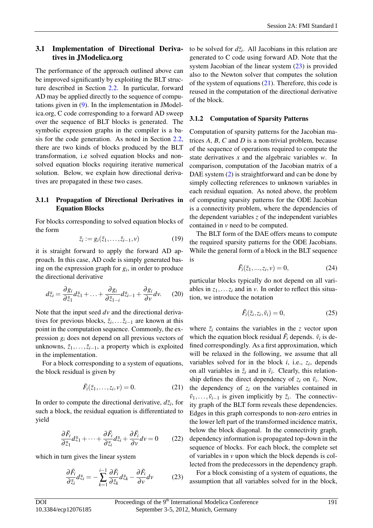#### <span id="page-6-2"></span>3.1 Implementation of Directional Derivatives in JModelica.org

The performance of the approach outlined above can be improved significantly by exploiting the BLT structure described in Section [2.2.](#page-1-2) In particular, forward AD may be applied directly to the sequence of computations given in [\(9\)](#page-2-1). In the implementation in JModelica.org, C code corresponding to a forward AD sweep over the sequence of BLT blocks is generated. The symbolic expression graphs in the compiler is a basis for the code generation. As noted in Section [2.2,](#page-1-2) there are two kinds of blocks produced by the BLT transformation, i.e solved equation blocks and nonsolved equation blocks requiring iterative numerical solution. Below, we explain how directional derivatives are propagated in these two cases.

#### 3.1.1 Propagation of Directional Derivatives in Equation Blocks

For blocks corresponding to solved equation blocks of the form

$$
\bar{z}_i := g_i(\bar{z}_1, \dots, \bar{z}_{i-1}, \nu) \tag{19}
$$

it is straight forward to apply the forward AD approach. In this case, AD code is simply generated basing on the expression graph for  $g_i$ , in order to produce the directional derivative

$$
d\bar{z}_i = \frac{\partial g_i}{\partial \bar{z}_1} d\bar{z}_1 + \ldots + \frac{\partial g_i}{\partial \bar{z}_{1-i}} d\bar{z}_{i-1} + \frac{\partial g_i}{\partial v} dv. \tag{20}
$$

Note that the input seed *dv* and the directional derivatives for previous blocks,  $\bar{z}_i$ , ... $\bar{z}_{i-1}$  are known at this point in the computation sequence. Commonly, the expression *g<sup>i</sup>* does not depend on all previous vectors of unknowns,  $\bar{z}_1, \ldots, \bar{z}_{i-1}$ , a property which is exploited in the implementation.

For a block corresponding to a system of equations, the block residual is given by

<span id="page-6-1"></span>
$$
\bar{F}_i(\bar{z}_1,\ldots,z_i,\nu)=0.\tag{21}
$$

In order to compute the directional derivative,  $d\bar{z}_i$ , for such a block, the residual equation is differentiated to yield

$$
\frac{\partial \bar{F}_i}{\partial \bar{z}_1} d\bar{z}_1 + \dots + \frac{\partial \bar{F}_i}{\partial \bar{z}_i} d\bar{z}_i + \frac{\partial \bar{F}_i}{\partial v} dv = 0 \qquad (22)
$$

which in turn gives the linear system

$$
\frac{\partial \bar{F}_i}{\partial \bar{z}_i} d\bar{z}_i = -\sum_{k=1}^{i-1} \frac{\partial \bar{F}_i}{\partial \bar{z}_k} d\bar{z}_k - \frac{\partial \bar{F}_i}{\partial v} dv \qquad (23)
$$

to be solved for  $d\bar{z}_i$ . All Jacobians in this relation are generated to C code using forward AD. Note that the system Jacobian of the linear system [\(23\)](#page-6-0) is provided also to the Newton solver that computes the solution of the system of equations  $(21)$ . Therefore, this code is reused in the computation of the directional derivative of the block.

#### 3.1.2 Computation of Sparsity Patterns

Computation of sparsity patterns for the Jacobian matrices *A*, *B*, *C* and *D* is a non-trivial problem, because of the sequence of operations required to compute the state derivatives *x* and the algebraic variables *w*. In comparison, computation of the Jacobian matrix of a DAE system [\(2\)](#page-1-3) is straightforward and can be done by simply collecting references to unknown variables in each residual equation. As noted above, the problem of computing sparsity patterns for the ODE Jacobian is a connectivity problem, where the dependencies of the dependent variables *z* of the independent variables contained in *v* need to be computed.

The BLT form of the DAE offers means to compute the required sparsity patterns for the ODE Jacobians. While the general form of a block in the BLT sequence is

$$
\bar{F}_i(\bar{z}_1, ..., z_i, v) = 0,\t(24)
$$

particular blocks typically do not depend on all variables in  $z_1$ ,... $z_i$  and in *v*. In order to reflect this situation, we introduce the notation

$$
\tilde{F}_i(\tilde{z}_i, z_i, \tilde{v}_i) = 0,\tag{25}
$$

where  $\tilde{z}_i$  contains the variables in the *z* vector upon which the equation block residual  $\tilde{F}_i$  depends.  $\tilde{v}_i$  is defined correspondingly. As a first approximation, which will be relaxed in the following, we assume that all variables solved for in the block  $i$ , i.e.,  $z_i$ , depends on all variables in  $\tilde{z}_i$  and in  $\tilde{v}_i$ . Clearly, this relationship defines the direct dependency of  $z_i$  on  $\tilde{v}_i$ . Now, the dependency of  $z_i$  on the variables contained in  $\tilde{v}_1, \ldots, \tilde{v}_{i-1}$  is given implicitly by  $\tilde{z}_i$ . The connectivity graph of the BLT form reveals these dependencies. Edges in this graph corresponds to non-zero entries in the lower left part of the transformed incidence matrix, below the block diagonal. In the connectivity graph, dependency information is propagated top-down in the sequence of blocks. For each block, the complete set of variables in *v* upon which the block depends is collected from the predecessors in the dependency graph.

<span id="page-6-0"></span>For a block consisting of a system of equations, the assumption that all variables solved for in the block,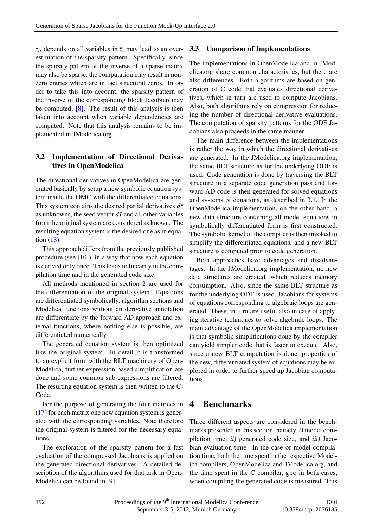$z_i$ , depends on all variables in  $\tilde{z}_i$  may lead to an overestimation of the sparsity pattern. Specifically, since the sparsity pattern of the inverse of a sparse matrix may also be sparse, the computation may result in nonzero entries which are in fact structural zeros. In order to take this into account, the sparsity pattern of the inverse of the corresponding block Jacobian may be computed, [\[8\]](#page-11-7). The result of this analysis is then taken into account when variable dependencies are computed. Note that this analysis remains to be implemented in JModelica.org

#### 3.2 Implementation of Directional Derivatives in OpenModelica

The directional derivatives in OpenModelica are generated basically by setup a new symbolic equation system inside the OMC with the differentiated equations. This system contains the desired partial derivatives  $d\bar{z}$ as unknowns, the seed vector  $d\bar{v}$  and all other variables from the original system are considered as known. The resulting equation system is the desired one as in equation [\(18\)](#page-5-4).

This approach differs from the previously published procedure (see  $[10]$ ), in a way that now each equation is derived only once. This leads to linearity in the compilation time and in the generated code size.

All methods mentioned in section [2](#page-1-0) are used for the differentiation of the original system. Equations are differentiated symbolically, algorithm sections and Modelica functions without an derivative annotation are differentiate by the forward AD approach and external functions, where nothing else is possible, are differentiated numerically.

The generated equation system is then optimized like the original system. In detail it is transformed to an explicit form with the BLT machinery of Open-Modelica, further expression-based simplification are done and some common sub-expressions are filtered. The resulting equation system is then written to the C-Code.

For the purpose of generating the four matrices in [\(17\)](#page-5-5) for each matrix one new equation system is generated with the corresponding variables. Note therefore the original system is filtered for the necessary equations.

The exploration of the sparsity pattern for a fast evaluation of the compressed Jacobians is applied on the generated directional derivatives. A detailed description of the algorithms used for that task in Open-Modelica can be found in [\[9\]](#page-11-9).

### 3.3 Comparison of Implementations

The implementations in OpenModelica and in JModelica.org share common characteristics, but there are also differences. Both algorithms are based on generation of C code that evaluates directional derivatives, which in turn are used to compute Jacobians. Also, both algorithms rely on compression for reducing the number of directional derivative evaluations. The computation of sparsity patterns for the ODE Jacobians also proceeds in the same manner.

The main difference between the implementations is rather the way in which the directional derivatives are generated. In the JModelica.org implementation, the same BLT structure as for the underlying ODE is used. Code generation is done by traversing the BLT structure in a separate code generation pass and forward AD code is then generated for solved equations and systems of equations, as described in [3.1.](#page-6-2) In the OpenModelica implementation, on the other hand, a new data structure containing all model equations in symbolically differentiated form is first constructed. The symbolic kernel of the compiler is then invoked to simplify the differentiated equations, and a new BLT structure is computed prior to code generation.

Both approaches have advantages and disadvantages. In the JModelica.org implementation, no new data structures are created, which reduces memory consumption. Also, since the same BLT structure as for the underlying ODE is used, Jacobians for systems of equations corresponding to algebraic loops are generated. These, in turn are useful also in case of applying iterative techniques to solve algebraic loops. The main advantage of the OpenModelica implementation is that symbolic simplifications done by the compiler can yield simpler code that is faster to execute. Also, since a new BLT computation is done, properties of the new, differentiated system of equations may be explored in order to further speed up Jacobian computations.

# <span id="page-7-0"></span>4 Benchmarks

Three different aspects are considered in the benchmarks presented in this section, namely, *i)* model compilation time, *ii)* generated code size, and *iii)* Jacobian evaluation time. In the case of model compilation time, both the time spent in the respective Modelica compilers, OpenModelica and JModelica.org, and the time spent in the C compiler, gcc in both cases, when compiling the generated code is measured. This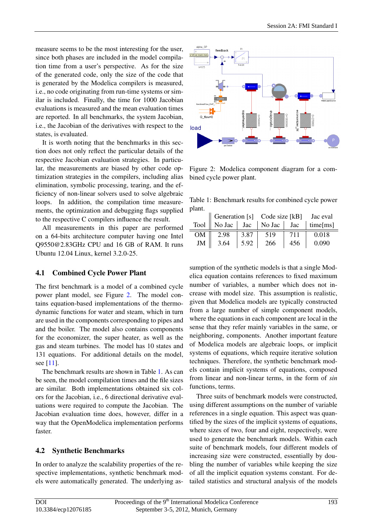measure seems to be the most interesting for the user, since both phases are included in the model compilation time from a user's perspective. As for the size of the generated code, only the size of the code that is generated by the Modelica compilers is measured, i.e., no code originating from run-time systems or similar is included. Finally, the time for 1000 Jacobian evaluations is measured and the mean evaluation times are reported. In all benchmarks, the system Jacobian, i.e., the Jacobian of the derivatives with respect to the states, is evaluated.

It is worth noting that the benchmarks in this section does not only reflect the particular details of the respective Jacobian evaluation strategies. In particular, the measurements are biased by other code optimization strategies in the compilers, including alias elimination, symbolic processing, tearing, and the efficiency of non-linear solvers used to solve algebraic loops. In addition, the compilation time measurements, the optimization and debugging flags supplied to the respective C compilers influence the result.

All measurements in this paper are performed on a 64-bits architecture computer having one Intel Q9550@2.83GHz CPU and 16 GB of RAM. It runs Ubuntu 12.04 Linux, kernel 3.2.0-25.

#### 4.1 Combined Cycle Power Plant

The first benchmark is a model of a combined cycle power plant model, see Figure [2.](#page-8-0) The model contains equation-based implementations of the thermodynamic functions for water and steam, which in turn are used in the components corresponding to pipes and and the boiler. The model also contains components for the economizer, the super heater, as well as the gas and steam turbines. The model has 10 states and 131 equations. For additional details on the model, see [\[11\]](#page-11-10).

The benchmark results are shown in Table [1.](#page-8-1) As can be seen, the model compilation times and the file sizes are similar. Both implementations obtained six colors for the Jacobian, i.e., 6 directional derivative evaluations were required to compute the Jacobian. The Jacobian evaluation time does, however, differ in a way that the OpenModelica implementation performs faster.

#### 4.2 Synthetic Benchmarks

In order to analyze the scalability properties of the respective implementations, synthetic benchmark models were automatically generated. The underlying as-



<span id="page-8-0"></span>Figure 2: Modelica component diagram for a combined cycle power plant.

<span id="page-8-1"></span>Table 1: Benchmark results for combined cycle power plant.

|    |      |      | Generation [s] Code size [kB] Jac eval |     |                                                |
|----|------|------|----------------------------------------|-----|------------------------------------------------|
|    |      |      |                                        |     | Tool    No Jac   Jac   No Jac   Jac   time[ms] |
| OM | 2.98 | 3.87 | 519                                    | 711 | 0.018                                          |
| JM | 3.64 | 5.92 | 266                                    | 456 | 0.090                                          |

sumption of the synthetic models is that a single Modelica equation contains references to fixed maximum number of variables, a number which does not increase with model size. This assumption is realistic, given that Modelica models are typically constructed from a large number of simple component models, where the equations in each component are local in the sense that they refer mainly variables in the same, or neighboring, components. Another important feature of Modelica models are algebraic loops, or implicit systems of equations, which require iterative solution techniques. Therefore, the synthetic benchmark models contain implicit systems of equations, composed from linear and non-linear terms, in the form of *sin* functions, terms.

Three suits of benchmark models were constructed, using different assumptions on the number of variable references in a single equation. This aspect was quantified by the sizes of the implicit systems of equations, where sizes of two, four and eight, respectively, were used to generate the benchmark models. Within each suite of benchmark models, four different models of increasing size were constructed, essentially by doubling the number of variables while keeping the size of all the implicit equation systems constant. For detailed statistics and structural analysis of the models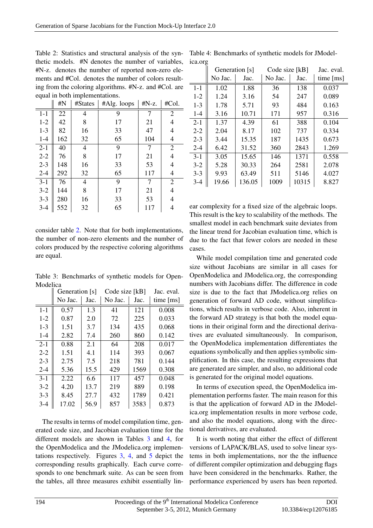<span id="page-9-0"></span>Table 2: Statistics and structural analysis of the syn-Table 4: Benchmarks of synthetic models for JModelthetic models. #N denotes the number of variables, #N-z. denotes the number of reported non-zero elements and #Col. denotes the number of colors resulting from the coloring algorithms. #N-z. and #Col. are equal in both implementations.

|         | $\#N$ | #States | #Alg. loops | #N-z. | #Col.          |
|---------|-------|---------|-------------|-------|----------------|
| $1 - 1$ | 22    | 4       | 9           | 7     | $\overline{2}$ |
| $1 - 2$ | 42    | 8       | 17          | 21    | 4              |
| $1 - 3$ | 82    | 16      | 33          | 47    | 4              |
| $1 - 4$ | 162   | 32      | 65          | 104   | 4              |
| $2 - 1$ | 40    | 4       | 9           | 7     | $\overline{2}$ |
| $2 - 2$ | 76    | 8       | 17          | 21    | 4              |
| $2 - 3$ | 148   | 16      | 33          | 53    | 4              |
| $2 - 4$ | 292   | 32      | 65          | 117   | 4              |
| $3 - 1$ | 76    | 4       | 9           | 7     | $\overline{2}$ |
| $3 - 2$ | 144   | 8       | 17          | 21    | 4              |
| $3 - 3$ | 280   | 16      | 33          | 53    | 4              |
| $3 - 4$ | 552   | 32      | 65          | 117   | 4              |

consider table [2.](#page-9-0) Note that for both implementations, the number of non-zero elements and the number of colors produced by the respective coloring algorithms are equal.

<span id="page-9-1"></span>Table 3: Benchmarks of synthetic models for Open-Modelica

|         | Generation [s] |      | Code size [kB] |      | Jac. eval.  |
|---------|----------------|------|----------------|------|-------------|
|         | No Jac.        | Jac. | No Jac.        | Jac. | time $[ms]$ |
| $1 - 1$ | 0.57           | 1.3  | 41             | 121  | 0.008       |
| $1-2$   | 0.87           | 2.0  | 72             | 225  | 0.033       |
| $1 - 3$ | 1.51           | 3.7  | 134            | 435  | 0.068       |
| $1 - 4$ | 2.82           | 7.4  | 260            | 860  | 0.142       |
| $2 - 1$ | 0.88           | 2.1  | 64             | 208  | 0.017       |
| $2 - 2$ | 1.51           | 4.1  | 114            | 393  | 0.067       |
| $2 - 3$ | 2.75           | 7.5  | 218            | 781  | 0.144       |
| $2 - 4$ | 5.36           | 15.5 | 429            | 1569 | 0.308       |
| $3 - 1$ | 2.22           | 6.6  | 117            | 457  | 0.048       |
| $3 - 2$ | 4.20           | 13.7 | 219            | 889  | 0.198       |
| $3 - 3$ | 8.45           | 27.7 | 432            | 1789 | 0.421       |
| $3 - 4$ | 17.02          | 56.9 | 857            | 3583 | 0.873       |

The results in terms of model compilation time, generated code size, and Jacobian evaluation time for the different models are shown in Tables [3](#page-9-1) and [4,](#page-9-2) for the OpenModelica and the JModelica.org implementations respectively. Figures [3,](#page-10-1) [4,](#page-10-2) and [5](#page-10-3) depict the corresponding results graphically. Each curve corresponds to one benchmark suite. As can be seen from the tables, all three measures exhibit essentially lin-

<span id="page-9-2"></span>ica.org

|         | Generation [s] |        | Code size [kB] |       | Jac. eval.  |
|---------|----------------|--------|----------------|-------|-------------|
|         | No Jac.        | Jac.   | No Jac.        | Jac.  | time $[ms]$ |
| $1 - 1$ | 1.02           | 1.88   | 36             | 138   | 0.037       |
| $1 - 2$ | 1.24           | 3.16   | 54             | 247   | 0.089       |
| $1 - 3$ | 1.78           | 5.71   | 93             | 484   | 0.163       |
| $1 - 4$ | 3.16           | 10.71  | 171            | 957   | 0.316       |
| $2 - 1$ | 1.37           | 4.39   | 61             | 388   | 0.104       |
| $2 - 2$ | 2.04           | 8.17   | 102            | 737   | 0.334       |
| $2 - 3$ | 3.44           | 15.35  | 187            | 1435  | 0.673       |
| $2 - 4$ | 6.42           | 31.52  | 360            | 2843  | 1.269       |
| $3-1$   | 3.05           | 15.65  | 146            | 1371  | 0.558       |
| $3 - 2$ | 5.28           | 30.33  | 264            | 2581  | 2.078       |
| $3 - 3$ | 9.93           | 63.49  | 511            | 5146  | 4.027       |
| $3-4$   | 19.66          | 136.05 | 1009           | 10315 | 8.827       |

ear complexity for a fixed size of the algebraic loops. This result is the key to scalability of the methods. The smallest model in each benchmark suite deviates from the linear trend for Jacobian evaluation time, which is due to the fact that fewer colors are needed in these cases.

While model compilation time and generated code size without Jacobians are similar in all cases for OpenModelica and JModelica.org, the corresponding numbers with Jacobians differ. The difference in code size is due to the fact that JModelica.org relies on generation of forward AD code, without simplifications, which results in verbose code. Also, inherent in the forward AD strategy is that both the model equations in their original form and the directional derivatives are evaluated simultaneously. In comparison, the OpenModelica implementation differentiates the equations symbolically and then applies symbolic simplification. In this case, the resulting expressions that are generated are simpler, and also, no additional code is generated for the original model equations.

In terms of execution speed, the OpenModelica implementation performs faster. The main reason for this is that the application of forward AD in the JModelica.org implementation results in more verbose code, and also the model equations, along with the directional derivatives, are evaluated.

It is worth noting that either the effect of different versions of LAPACK/BLAS, used to solve linear systems in both implementations, nor the the influence of different compiler optimization and debugging flags have been considered in the benchmarks. Rather, the performance experienced by users has been reported.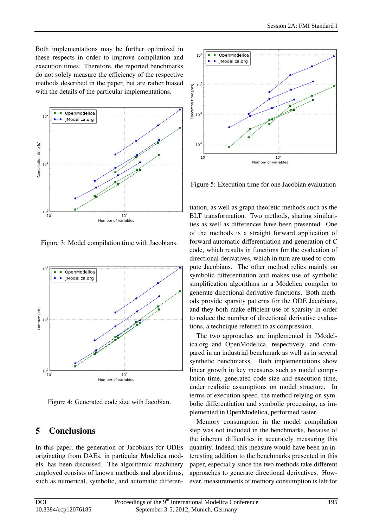Both implementations may be further optimized in these respects in order to improve compilation and execution times. Therefore, the reported benchmarks do not solely measure the efficiency of the respective methods described in the paper, but are rather biased with the details of the particular implementations.



<span id="page-10-1"></span>Figure 3: Model compilation time with Jacobians.



<span id="page-10-2"></span>Figure 4: Generated code size with Jacobian.

# <span id="page-10-0"></span>5 Conclusions

In this paper, the generation of Jacobians for ODEs originating from DAEs, in particular Modelica models, has been discussed. The algorithmic machinery employed consists of known methods and algorithms, such as numerical, symbolic, and automatic differen-



<span id="page-10-3"></span>Figure 5: Execution time for one Jacobian evaluation

tiation, as well as graph theoretic methods such as the BLT transformation. Two methods, sharing similarities as well as differences have been presented. One of the methods is a straight forward application of forward automatic differentiation and generation of C code, which results in functions for the evaluation of directional derivatives, which in turn are used to compute Jacobians. The other method relies mainly on symbolic differentiation and makes use of symbolic simplification algorithms in a Modelica compiler to generate directional derivative functions. Both methods provide sparsity patterns for the ODE Jacobians, and they both make efficient use of sparsity in order to reduce the number of directional derivative evaluations, a technique referred to as compression.

The two approaches are implemented in JModelica.org and OpenModelica, respectively, and compared in an industrial benchmark as well as in several synthetic benchmarks. Both implementations show linear growth in key measures such as model compilation time, generated code size and execution time, under realistic assumptions on model structure. In terms of execution speed, the method relying on symbolic differentiation and symbolic processing, as implemented in OpenModelica, performed faster.

Memory consumption in the model compilation step was not included in the benchmarks, because of the inherent difficulties in accurately measuring this quantity. Indeed, this measure would have been an interesting addition to the benchmarks presented in this paper, especially since the two methods take different approaches to generate directional derivatives. However, measurements of memory consumption is left for